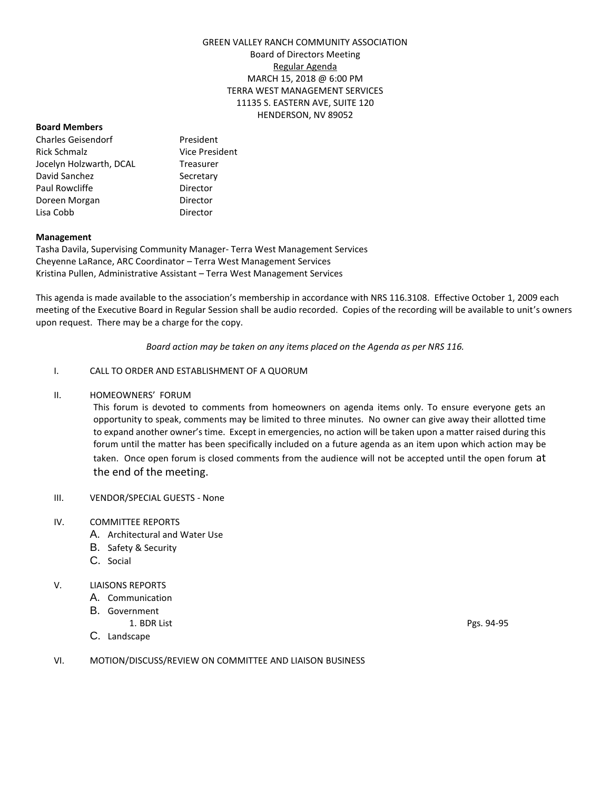# GREEN VALLEY RANCH COMMUNITY ASSOCIATION Board of Directors Meeting Regular Agenda MARCH 15, 2018 @ 6:00 PM TERRA WEST MANAGEMENT SERVICES 11135 S. EASTERN AVE, SUITE 120 HENDERSON, NV 89052

#### **Board Members**

Charles Geisendorf President Rick Schmalz **Vice President** Jocelyn Holzwarth, DCAL Treasurer David Sanchez Secretary Paul Rowcliffe **Director** Doreen Morgan **Director** Lisa Cobb Director

### **Management**

Tasha Davila, Supervising Community Manager- Terra West Management Services Cheyenne LaRance, ARC Coordinator – Terra West Management Services Kristina Pullen, Administrative Assistant – Terra West Management Services

This agenda is made available to the association's membership in accordance with NRS 116.3108. Effective October 1, 2009 each meeting of the Executive Board in Regular Session shall be audio recorded. Copies of the recording will be available to unit's owners upon request. There may be a charge for the copy.

*Board action may be taken on any items placed on the Agenda as per NRS 116.*

## I. CALL TO ORDER AND ESTABLISHMENT OF A QUORUM

II. HOMEOWNERS' FORUM

This forum is devoted to comments from homeowners on agenda items only. To ensure everyone gets an opportunity to speak, comments may be limited to three minutes. No owner can give away their allotted time to expand another owner's time. Except in emergencies, no action will be taken upon a matter raised during this forum until the matter has been specifically included on a future agenda as an item upon which action may be taken. Once open forum is closed comments from the audience will not be accepted until the open forum at the end of the meeting.

- III. VENDOR/SPECIAL GUESTS None
- IV. COMMITTEE REPORTS
	- A. Architectural and Water Use
	- B. Safety & Security
	- C. Social

## V. LIAISONS REPORTS

- A. Communication
- B. Government
- 
- C. Landscape

1. BDR List Pgs. 94-95

VI. MOTION/DISCUSS/REVIEW ON COMMITTEE AND LIAISON BUSINESS